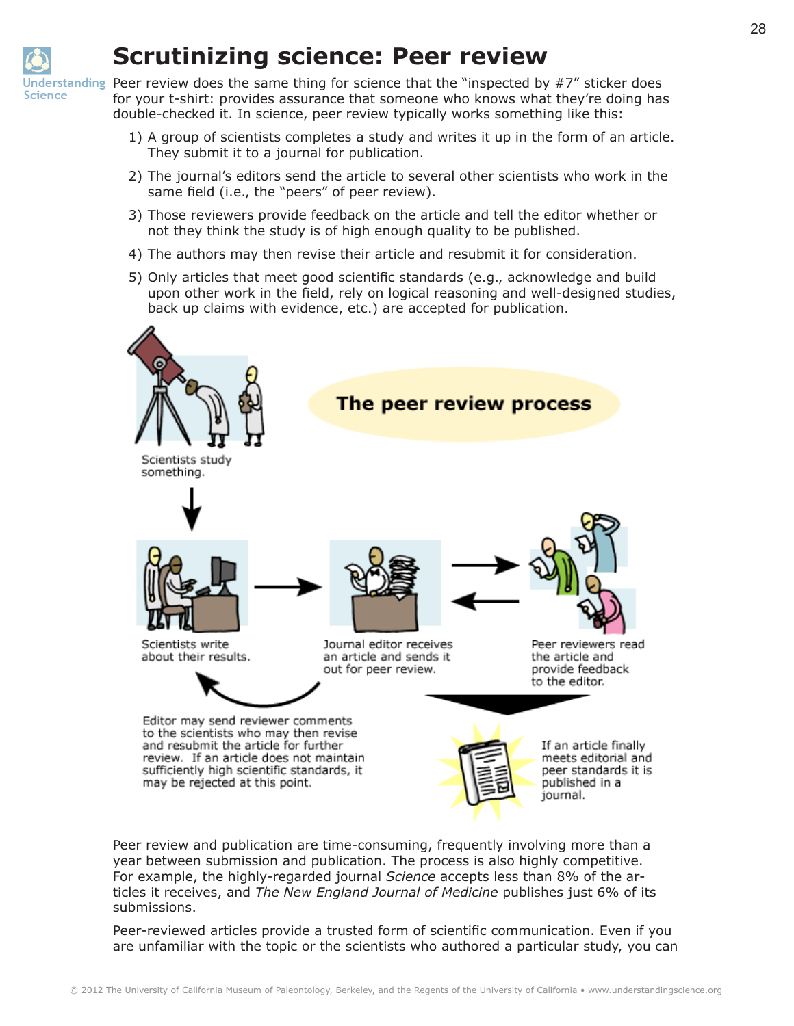

## **Scrutinizing science: Peer review**

Inderstanding Peer review does the same thing for science that the "inspected by  $\#7$ " sticker does for your t-shirt: provides assurance that someone who knows what they're doing has double-checked it. In science, peer review typically works something like this:

- 1) A group of scientists completes a study and writes it up in the form of an article. They submit it to a journal for publication.
- 2) The journal's editors send the article to several other scientists who work in the same field (i.e., the "peers" of peer review).
- 3) Those reviewers provide feedback on the article and tell the editor whether or not they think the study is of high enough quality to be published.
- 4) The authors may then revise their article and resubmit it for consideration.
- 5) Only articles that meet good scientific standards (e.g., acknowledge and build upon other work in the field, rely on logical reasoning and well-designed studies, back up claims with evidence, etc.) are accepted for publication.



Peer review and publication are time-consuming, frequently involving more than a year between submission and publication. The process is also highly competitive. For example, the highly-regarded journal *Science* accepts less than 8% of the articles it receives, and *The New England Journal of Medicine* publishes just 6% of its submissions.

Peer-reviewed articles provide a trusted form of scientific communication. Even if you are unfamiliar with the topic or the scientists who authored a particular study, you can